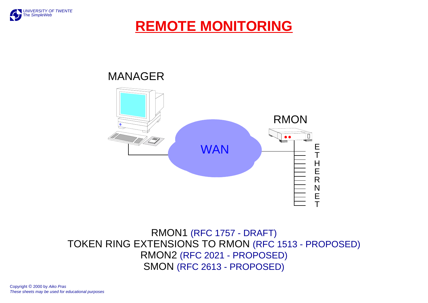

# **REMOTE MONITORING**



#### RMON1 (RFC 1757 - DRAFT) TOKEN RING EXTENSIONS TO RMON (RFC 1513 - PROPOSED) RMON2 (RFC 2021 - PROPOSED) SMON (RFC 2613 - PROPOSED)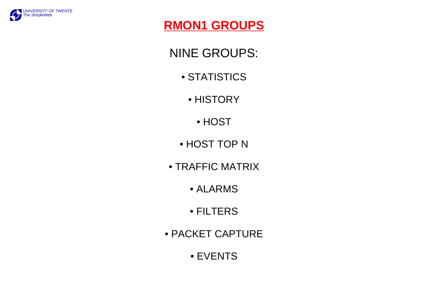

# **RMON1 GROUPS**

NINE GROUPS:

- STATISTICS
	- HISTORY
		- HOST
- HOST TOP N
- TRAFFIC MATRIX
	- ALARMS
	- FILTERS
- PACKET CAPTURE
	- EVENTS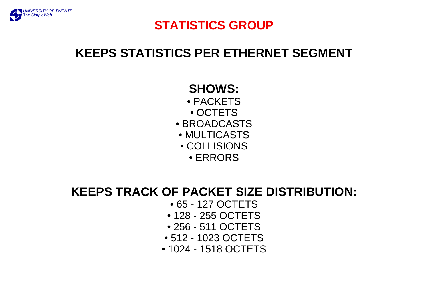

### **STATISTICS GROUP**

# **KEEPS STATISTICS PER ETHERNET SEGMENT**

## **SHOWS:**

- PACKETS
- OCTETS
- BROADCASTS
- MULTICASTS
- COLLISIONS
	- ERRORS

# **KEEPS TRACK OF PACKET SIZE DISTRIBUTION:**

- 65 127 OCTETS
- 128 255 OCTETS
- 256 511 OCTETS
- 512 1023 OCTETS
- 1024 1518 OCTETS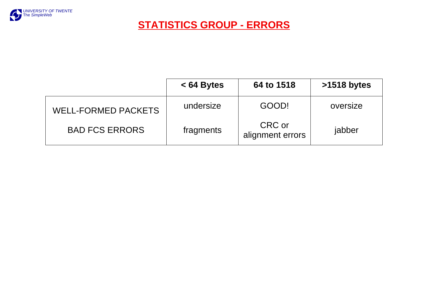

**STATISTICS GROUP - ERRORS**

|                            | $< 64$ Bytes | 64 to 1518                 | >1518 bytes |
|----------------------------|--------------|----------------------------|-------------|
| <b>WELL-FORMED PACKETS</b> | undersize    | GOOD!                      | oversize    |
| <b>BAD FCS ERRORS</b>      | fragments    | CRC or<br>alignment errors | jabber      |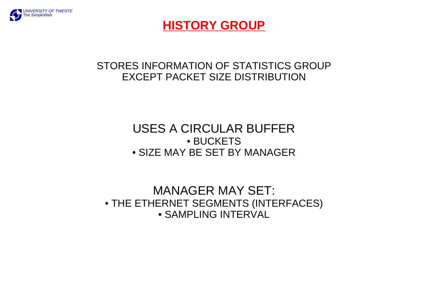

### **HISTORY GROUP**

#### STORES INFORMATION OF STATISTICS GROUPEXCEPT PACKET SIZE DISTRIBUTION

### USES A CIRCULAR BUFFER• BUCKETS• SIZE MAY BE SET BY MANAGER

#### MANAGER MAY SET: • THE ETHERNET SEGMENTS (INTERFACES) • SAMPLING INTERVAL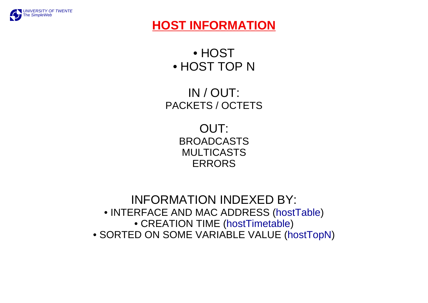

## **HOST INFORMATION**

• HOST• HOST TOP N

IN / OUT: PACKETS / OCTETS

> OUT: BROADCASTSMULTICASTSERRORS

INFORMATION INDEXED BY: • INTERFACE AND MAC ADDRESS (hostTable) • CREATION TIME (hostTimetable) • SORTED ON SOME VARIABLE VALUE (hostTopN)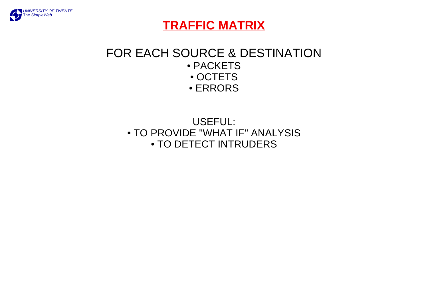

### **TRAFFIC MATRIX**

#### FOR EACH SOURCE & DESTINATION• PACKETS • OCTETS • ERRORS

### USEFUL: • TO PROVIDE "WHAT IF" ANALYSIS • TO DETECT INTRUDERS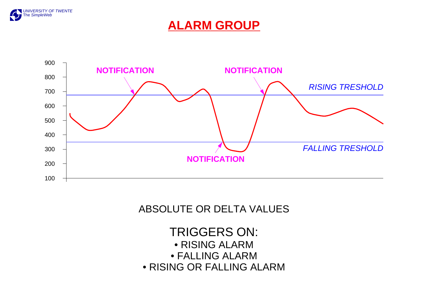

### **ALARM GROUP**



#### ABSOLUTE OR DELTA VALUES

TRIGGERS ON: • RISING ALARM • FALLING ALARM• RISING OR FALLING ALARM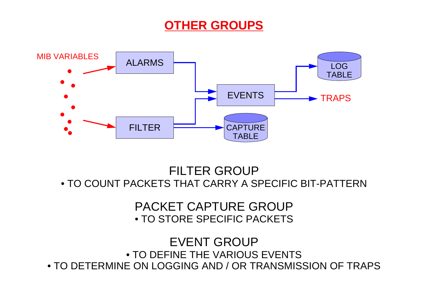# **OTHER GROUPS**



FILTER GROUP• TO COUNT PACKETS THAT CARRY A SPECIFIC BIT-PATTERN

> PACKET CAPTURE GROUP• TO STORE SPECIFIC PACKETS

EVENT GROUP• TO DEFINE THE VARIOUS EVENTS • TO DETERMINE ON LOGGING AND / OR TRANSMISSION OF TRAPS